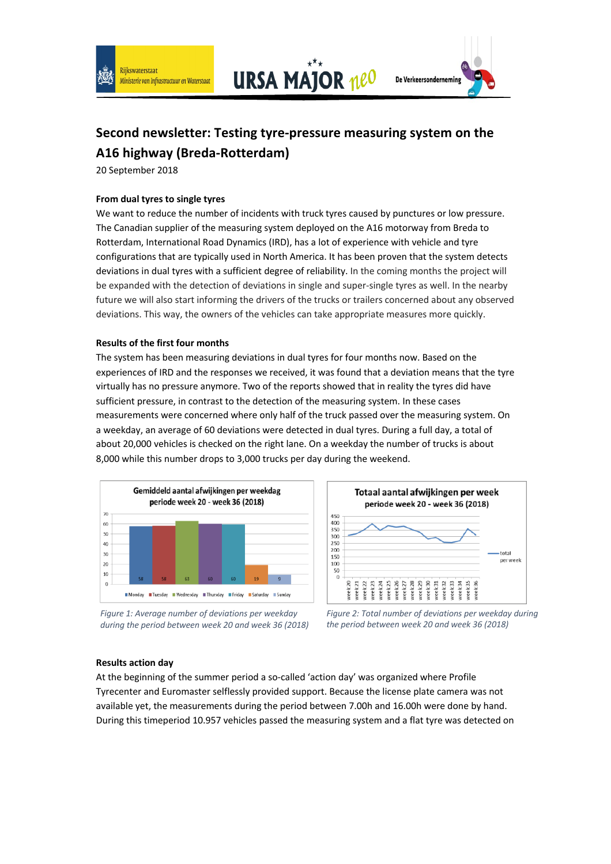

**URSA MAJOR neO** 



# **Second newsletter: Testing tyre-pressure measuring system on the A16 highway (Breda-Rotterdam)**

20 September 2018

### **From dual tyres to single tyres**

We want to reduce the number of incidents with truck tyres caused by punctures or low pressure. The Canadian supplier of the measuring system deployed on the A16 motorway from Breda to Rotterdam, International Road Dynamics (IRD), has a lot of experience with vehicle and tyre configurations that are typically used in North America. It has been proven that the system detects deviations in dual tyres with a sufficient degree of reliability. In the coming months the project will be expanded with the detection of deviations in single and super-single tyres as well. In the nearby future we will also start informing the drivers of the trucks or trailers concerned about any observed deviations. This way, the owners of the vehicles can take appropriate measures more quickly.

#### **Results of the first four months**

The system has been measuring deviations in dual tyres for four months now. Based on the experiences of IRD and the responses we received, it was found that a deviation means that the tyre virtually has no pressure anymore. Two of the reports showed that in reality the tyres did have sufficient pressure, in contrast to the detection of the measuring system. In these cases measurements were concerned where only half of the truck passed over the measuring system. On a weekday, an average of 60 deviations were detected in dual tyres. During a full day, a total of about 20,000 vehicles is checked on the right lane. On a weekday the number of trucks is about 8,000 while this number drops to 3,000 trucks per day during the weekend.









## **Results action day**

At the beginning of the summer period a so-called 'action day' was organized where Profile Tyrecenter and Euromaster selflessly provided support. Because the license plate camera was not available yet, the measurements during the period between 7.00h and 16.00h were done by hand. During this timeperiod 10.957 vehicles passed the measuring system and a flat tyre was detected on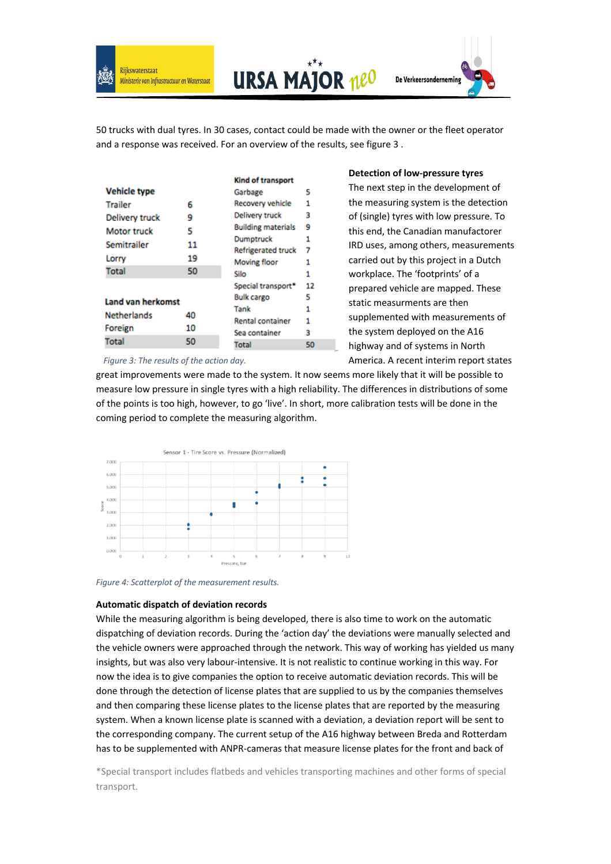

**URSA MAJOR neo** 



50 trucks with dual tyres. In 30 cases, contact could be made with the owner or the fleet operator and a response was received. For an overview of the results, see figure 3 .

|                     |          | <b>Kind of transport</b>               |    |
|---------------------|----------|----------------------------------------|----|
| <b>Vehicle type</b> |          | Garbage                                | 5  |
| <b>Trailer</b>      | 6        | Recovery vehicle                       | 1  |
| Delivery truck      | 9        | Delivery truck                         | 3  |
| <b>Motor truck</b>  | 5        | <b>Building materials</b><br>Dumptruck | 9  |
| Semitrailer         | 11       |                                        | 1  |
|                     |          | <b>Refrigerated truck</b>              | 7  |
| Lorry               | 19       | <b>Moving floor</b>                    | 1  |
| Total               | 50       | Silo                                   | 1  |
|                     |          | Special transport*                     | 12 |
| Land van herkomst   |          | <b>Bulk cargo</b>                      | 5  |
|                     |          | Tank                                   | 1  |
| <b>Netherlands</b>  | 40<br>10 | <b>Rental container</b>                | 1  |
| Foreign             |          | Sea container                          | 3  |
| Total               | 50       |                                        |    |
|                     |          | Total                                  | 50 |
|                     |          |                                        |    |

**Detection of low-pressure tyres**

The next step in the development of the measuring system is the detection of (single) tyres with low pressure. To this end, the Canadian manufactorer IRD uses, among others, measurements carried out by this project in a Dutch workplace. The 'footprints' of a prepared vehicle are mapped. These static measurments are then supplemented with measurements of the system deployed on the A16 highway and of systems in North America. A recent interim report states

*Figure 3: The results of the action day.*

great improvements were made to the system. It now seems more likely that it will be possible to measure low pressure in single tyres with a high reliability. The differences in distributions of some of the points is too high, however, to go 'live'. In short, more calibration tests will be done in the coming period to complete the measuring algorithm.



*Figure 4: Scatterplot of the measurement results.*

#### **Automatic dispatch of deviation records**

While the measuring algorithm is being developed, there is also time to work on the automatic dispatching of deviation records. During the 'action day' the deviations were manually selected and the vehicle owners were approached through the network. This way of working has yielded us many insights, but was also very labour-intensive. It is not realistic to continue working in this way. For now the idea is to give companies the option to receive automatic deviation records. This will be done through the detection of license plates that are supplied to us by the companies themselves and then comparing these license plates to the license plates that are reported by the measuring system. When a known license plate is scanned with a deviation, a deviation report will be sent to the corresponding company. The current setup of the A16 highway between Breda and Rotterdam has to be supplemented with ANPR-cameras that measure license plates for the front and back of

\*Special transport includes flatbeds and vehicles transporting machines and other forms of special transport.